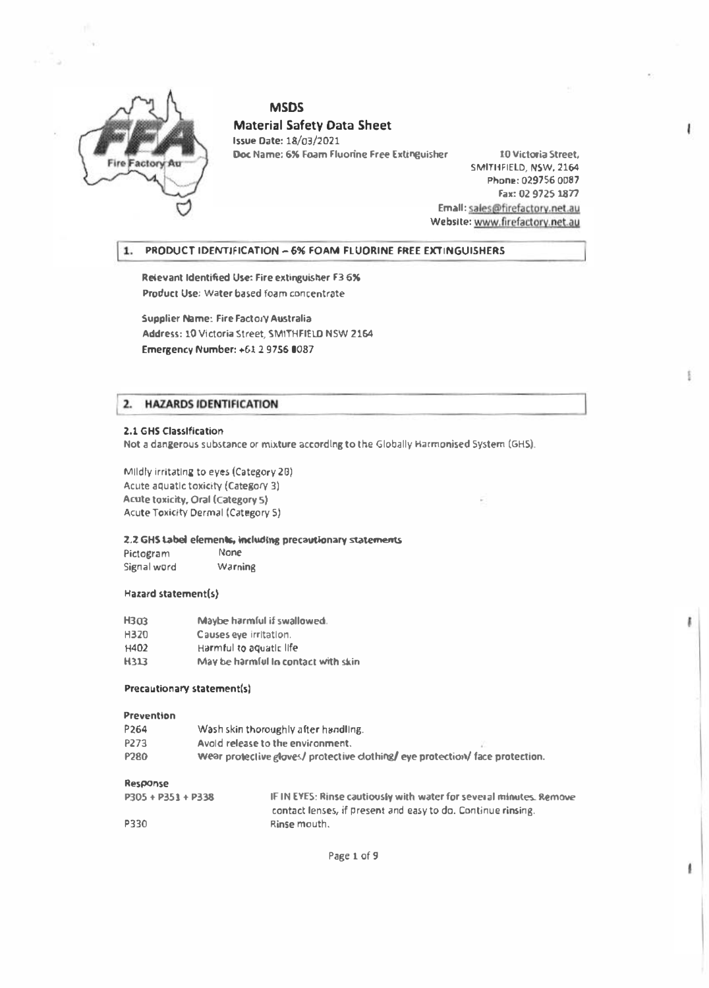

## **MSDS** Material Safety Data Sheet

Issue Date: 18/03/2021 Doc Name: 6% Foam Fluorine Free Extinguisher 10 Victoria Street,

SMITHFIELD, NSW, 2164 Phone: 029756 0087 Fax: 02 9725 1877 Emall: sales@firefactory.net.au Webslte: www.firefactorv.net.au

I

ŧ

### 1. PRODUCT IDENTIFICATION - 6% FOAM FLUORINE FREE EXTINGUISHERS

Relevant Identified Use: Fire extinguisher F3 6% Product Use: Water ba�ed foam concentrate

Supplier Name: Fire Factory Australia Address: 10VIctoria Street, SMITHFIELD NSW 2164 Emergency Number: +612 97S6 0087

## 2. HAZARDS IDENTIFICATION

#### 2.1 GHS Classification

Not a dangerous substance or mixture according to the Globally Harmonised System (GHS).

Mildly Irritating to eyes (Category 2B) Acute aquatic toxicity (Category 3) Acute toxicity, Oral (Category S) Acute Toxicity Dermal (Category S)

## 2.2 GHS Label elements, including precautionary statements

Pictogram None Signal word Warning

#### Hazard statement(s)

| <b>H303</b> | Maybe harmful if swallowed.         |
|-------------|-------------------------------------|
| H320        | Causes eye irritation.              |
| H402        | Harmful to aquatic life             |
| H313        | May be harmful in contact with skin |

#### Precautionary statement(s)

#### Prevention

| P <sub>264</sub> | Wash skin thoroughly after handling.                                         |  |
|------------------|------------------------------------------------------------------------------|--|
| P273             | Avoid release to the environment.                                            |  |
| P <sub>280</sub> | Wear protective gloves/ protective dothing/ eye protection/ face protection. |  |

#### Response

| $P305 + P351 + P338$ | IF IN EYES: Rinse cautiously with water for several minutes, Remove |
|----------------------|---------------------------------------------------------------------|
|                      | contact lenses, if present and easy to do. Continue rinsing.        |
| P330                 | Rinse mouth.                                                        |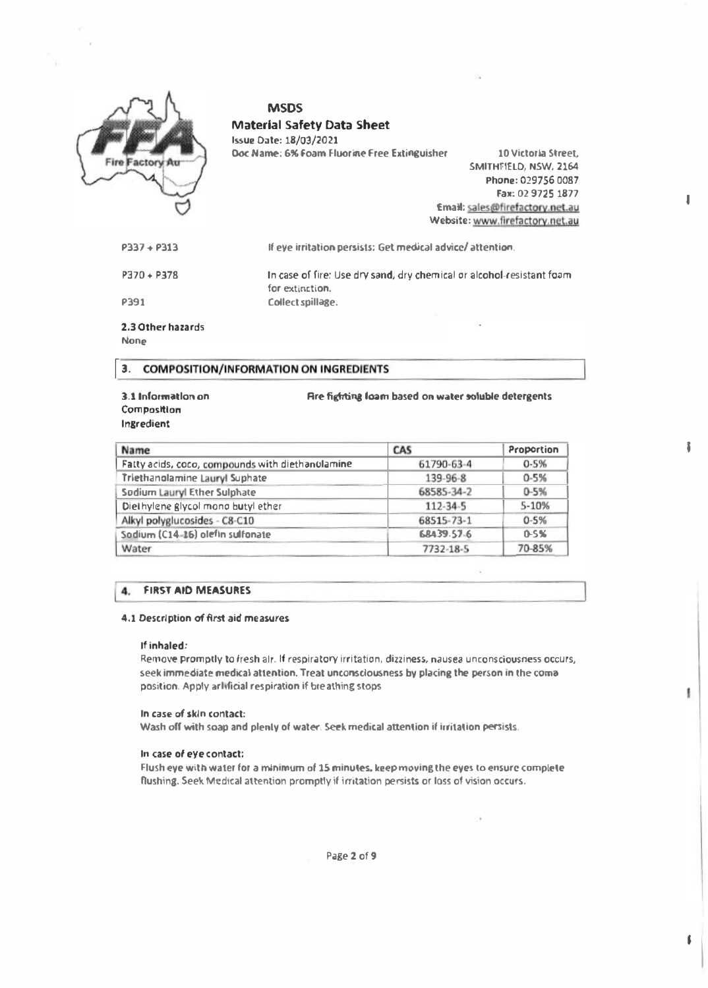| <b>Fire Factory Au</b> | <b>MSDS</b><br><b>Material Safety Data Sheet</b><br>Issue Date: 18/03/2021<br>Doc Name: 6% Foam Fluorine Free Extinguisher | 10 Victoria Street.<br>SMITHFIELD, NSW, 2164<br>Phone: 029756 0087<br>Fax: 02 9725 1877<br>Email: sales@firefactory.net.au<br>Website: www.firefactory.net.au |
|------------------------|----------------------------------------------------------------------------------------------------------------------------|---------------------------------------------------------------------------------------------------------------------------------------------------------------|
| $P337 + P313$          | If eye irritation persists: Get medical advice/attention.                                                                  |                                                                                                                                                               |
| $P370 + P378$          | In case of fire: Use dry sand, dry chemical or alcohol-resistant foam<br>for extinction.                                   |                                                                                                                                                               |
| P391                   | Collect spillage.                                                                                                          |                                                                                                                                                               |
| 2.3 Other hazards      |                                                                                                                            |                                                                                                                                                               |

None

## 3. COMPOSITION/INFORMATION ON INGREDIENTS

#### 3.1 Information on **Composition** lnsredient

Name CAS Proportion Fatty acids, coca, compounds w ith diethanolamine 61790 3 <sup>4</sup>0-5% Triethanolamine Lauryl Suphate 139-96-8 0-5% Sodium Lauryl Ether Sulphate 68585-34-2 0-5% Dielhylene glycol mono butyl ether 112-34-5 5-10% Alkyl polyglucosides - C8-C10 68515-73-1 6-5%<br>
Sodium (C14-16) olefin sulfonate 68-039-57-6 0-5% I  $\frac{1}{2}$  $\overline{\phantom{a}}$ Sodium (C14-16) olefin sulfonate<br>Water 68439.57-6 Water 2012 7732-18-5 70-85%  $\mathbf{v}$  aver .  $\mathbf{v}$  .  $\mathbf{v}$  .  $\mathbf{v}$  .  $\mathbf{v}$ 

Are fighting foam based on water soluble detergents

I

I

ŧ

• I

# 14. FIRST AID MEASURES

#### 4.1 Description of first aid measures

#### If inhaled:

Remove promptly to fresh alr.lf respiratory irritation, dizziness, nausea unconsciousness occurs, seek immediate medical attention. Treat unconsclousness by placing the person in the comaposition. Apply arllfidal respiration if breathing stops

#### In case of skin contact:

Wash off with soap and plenty of water. Seek medical attention if irritation persists.

#### In case of eye contact:

Flush eye with water for a minimum of lS minutes. keep movins the eyes to ensure complete flushing. Seek Medical attention promptly if irritation persists or loss of vision occurs.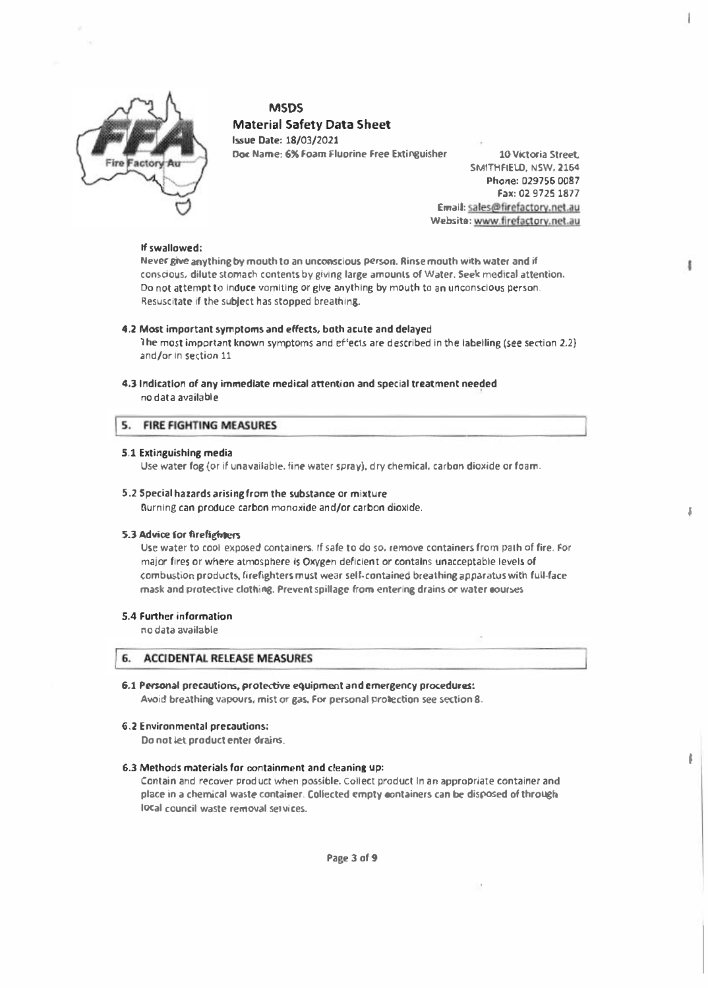

## **MSDS** Material Safety Data Sheet Issue Date: 18/03/2021

Doc Name: 6% Foam Fluorine Free Extinguisher 10 Victoria Street,

SMITHFIELD, NSW, 2154 Phone: 029756 0087 Fax: 02 9725 1877 Email: sales@firefactory.net.au Website: www.firefactory.net.au

I

I

#### If swallowed:

Never give anything by mouth to an unconscious person. Rinse mouth with water and if conscious, dilute stomach contents by giving large amounts of Water. Seek medical attention. Do not attempt to induce vomiting or give anything by mouth to an unconscious person. Resuscitate if the subject has stopped breathing.

#### 4.2 Most important symptoms and effects, both acute and delayed

The most important known symptoms and effects are described in the labelling (see section 2.2) and/or in section 11

4.3 Indication of any immediate medical attention and special treatment needed no data available

#### 5. **FIRE FIGHTING MEASURES**

#### 5.1 Extinguishing media

Use water fog (or if unavailable. fine water spray), dry chemical, carbon dioxide or foam.

## 5.2 Special hazards arising from the substance or mixture

Burning can produce carbon monoxide and/or carbon dioxide.

#### 5.3 Advice for firefighters

Use water to cool exposed containers. rf safe to do so, remove containers from path of fire. For major fires or where atmosphere Is Oxygen deficient or contains unacceptable levels of <sup>c</sup>ombustion products, firefighters must wear self-contained breathing apparatus with full-face mask and protective clothing. Prevent spillage from entering drains or water courses

#### 5.4 Further information

no data available

## 6. ACCIDENTAL RELEASE MEASURES

#### 6.1 Personal precautions, protective equipment and emergency procedures:

Avoid breathing vapours, mist or gas. For personal protection see section 8.

#### 6.2 Environmental precautions:

Do not let product enter drains.

#### 6.3 Methods materials for containment and cleaning up:

Contain and recover product when possible. Collect product In an appropriate container and place in a chemical waste container. Collected empty containers can be disposed of through local council waste removal services.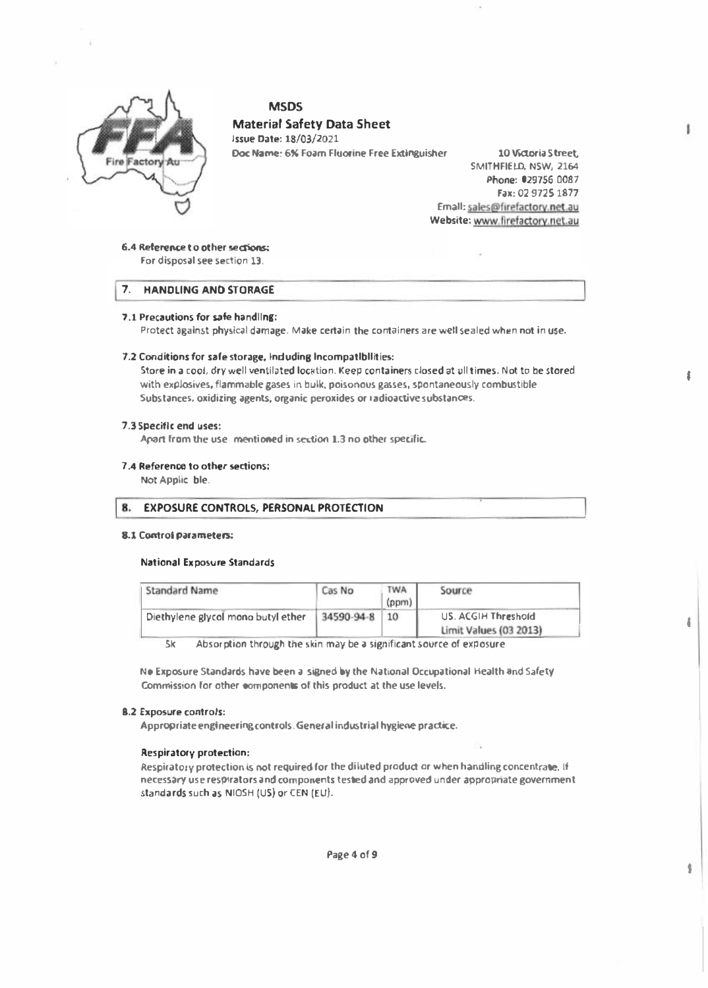

## **MSDS Material Safety Data Sheet**

**Issue Date: 18/03/2021** Doc Name: 6% Foam Fluorine Free Extinguisher

10 Watoria Street. SMITHFIELD, NSW, 2164 Phone: 029756 0087 Fax: 02 9725 1877 Emall: sales@firefactory.net.au Website: www.firefactory.net.au t

ł

8

j

6.4 Reference to other sections: For disposal see section 13.

7. HANDLING AND STORAGE

### 7.1 Precautions for safe handling:

Protect against physical damage. Make certain the containers are well sealed when not in use.

#### 7.2 Conditions for safe storage, Induding Incompatibilities:

Store in a cool, dry well ventilated location. Keep containers closed at all times. Not to be stored with explosives, flammable gases in bulk, poisonous gasses, spontaneously combustible Substances, oxidizing agents, organic peroxides or radioactive substances.

#### 7.3 Specific end uses:

Apart from the use mentioned in section 1.3 no other specific.

#### 7.4 Reference to other sections:

Not Applic ble.

#### 8. **EXPOSURE CONTROLS, PERSONAL PROTECTION**

#### **8.1 Control parameters:**

#### **National Exposure Standards**

| <b>Standard Name</b>               | Cas No     | TWA<br>(ppm) | Source                                        |
|------------------------------------|------------|--------------|-----------------------------------------------|
| Diethylene glycol mono butyl ether | 34590-94-8 | 10           | US, ACGIH Threshold<br>Limit Values (03 2013) |

Absorption through the skin may be a significant source of exposure **Sk** 

No Exposure Standards have been a signed by the National Occupational Health and Safety Commission for other components of this product at the use levels.

#### **B.2 Exposure controls:**

Appropriate engineering controls. General industrial hygiene practice.

#### **Respiratory protection:**

Respiratory protection is not required for the diluted product or when handling concentrate, if necessary use respirators and components tested and approved under appropriate government standards such as NIOSH (US) or CEN (EU).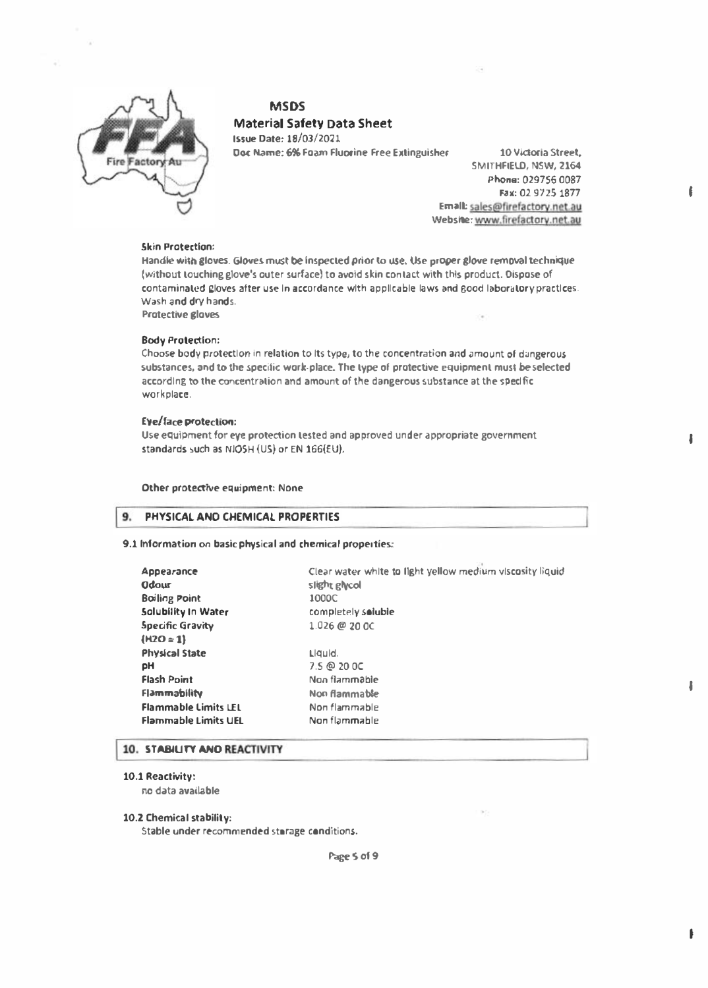

#### MSDS

## Material Safety Data Sheet

Issue Date: JS/03/2021 Doc Name: 6% Foam Fluorine Free Extinguisher 10 Victoria Street,

SMITHFIELO, NSW, 2164 Phone: 029756 0087 Fax: 02 9725 1877 Emall:: sales@ftrefactorv.net-au Webshe: www.firefactory.net.au

#### Skin Protection:

Handle with gloves. Gloves must be Inspected prior to use. Use proper glove removal technique (without touching glove's outer surface) to avoid skin contact with this product. Dispose of contaminated gloves after use in accordance with applicable laws and good laboratory practices. Wash and dry hands.

Protective gloves

#### Body Protection:

Choose body protection in relation to its type, to the concentration and amount of dangerous substances, and to the specific work-place. The type of protective equipment must be selected according to the concentration and amount of the dangerous substance at the specific workplace.

#### Eye/face protection:

Use equipment for eye protection tested and approved under appropriate government standards such as NIOSH (US) or EN 166(EU).

#### Other protective equipment: None

#### 9. PHYSICAL AND CHEMICAL PROPERTIES

#### 9.1 Information on basic physical and chemical properties:

| Appearance<br><b>Odour</b>  | Clear water white to light yellow medium viscosity liquid<br>slight glycol |
|-----------------------------|----------------------------------------------------------------------------|
| <b>Boiling Point</b>        | 1000C                                                                      |
| Solubility In Water         | completely soluble                                                         |
| Specific Gravity            | $1.026 \ @ 20.00$                                                          |
| $(H2O = 1)$                 |                                                                            |
| <b>Physical State</b>       | Liquid.                                                                    |
| pH                          | 7.5 @ 20 OC                                                                |
| <b>Flash Point</b>          | Non flammable                                                              |
| <b>Flammability</b>         | Non flammable                                                              |
| <b>Flammable Limits LEL</b> | Non flammable                                                              |
| <b>Flammable Limits UEL</b> | Non flammable                                                              |
|                             |                                                                            |

## 10. STABILITY AND REACTIVITY

#### 10.1 Reactivity:

no data available

## 10.2 Chemical stability:

Stable under recommended storage conditions.

Page 5 of 9

I

I

 $\mathbf{f}$ 

I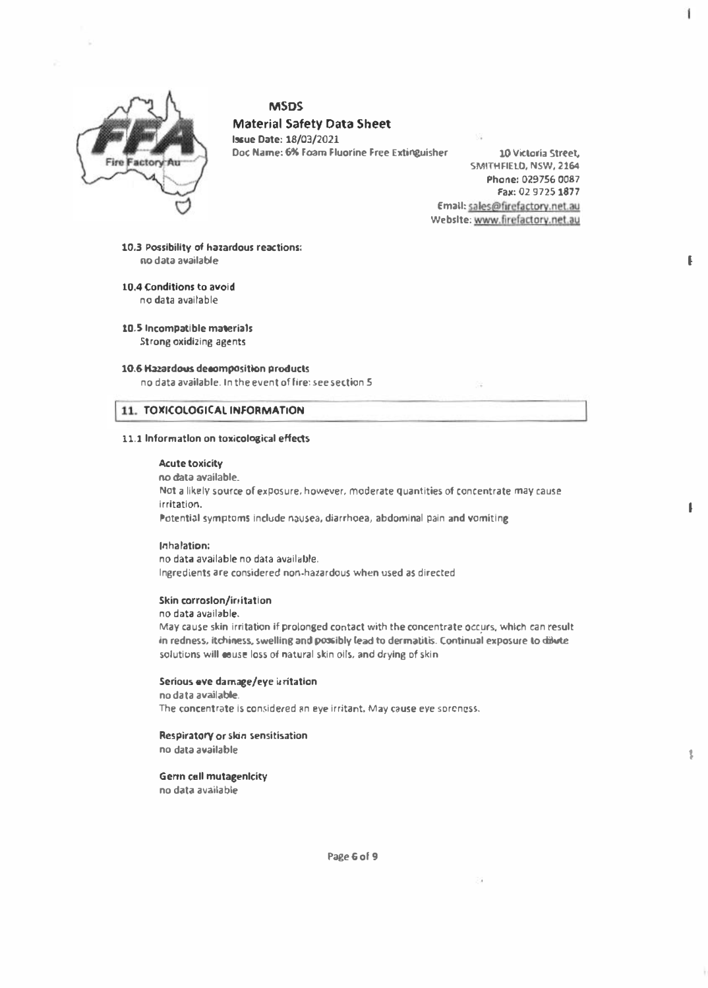

## **MSDS**

**Material Safety Data Sheet Issue Date: 18/03/2021** 

Doc Name: 6% Foam Fluorine Free Extinguisher

10 Victoria Street. SMITHFIELD, NSW, 2164 Phone: 029756 0087 Fax: 02 9725 1877 Email: sales@firefactory.net.au Website: www.firefactory.net.au 1

€

 $\mathbf{I}$ 

10.3 Possibility of hazardous reactions: no data available

10.4 Conditions to avoid

no data available

10.5 Incompatible materials **Strong oxidizing agents** 

#### 10.6 Hazardous decomposition products

no data available. In the event of fire: see section 5

## 11. TOXICOLOGICAL INFORMATION

#### 11.1 Information on toxicological effects

#### **Acute toxicity**

no data available. Not a likely source of exposure, however, moderate quantities of concentrate may cause irritation. Potential symptoms include nausea, diarrhoea, abdominal pain and vomiting

#### Inhalation:

no data available no data available. Ingredients are considered non-hazardous when used as directed

#### Skin corroslon/irritation

#### no data available.

May cause skin irritation if prolonged contact with the concentrate occurs, which can result in redness, itchiness, swelling and possibly lead to dermatitis. Continual exposure to dilwte solutions will couse loss of natural skin oils, and drying of skin

#### Serious eve damage/eye isritation

no data available. The concentrate is considered an eye irritant. May cause eye soreness.

#### Respiratory or skin sensitisation

no data available

#### **Germ call mutagenicity**

no data available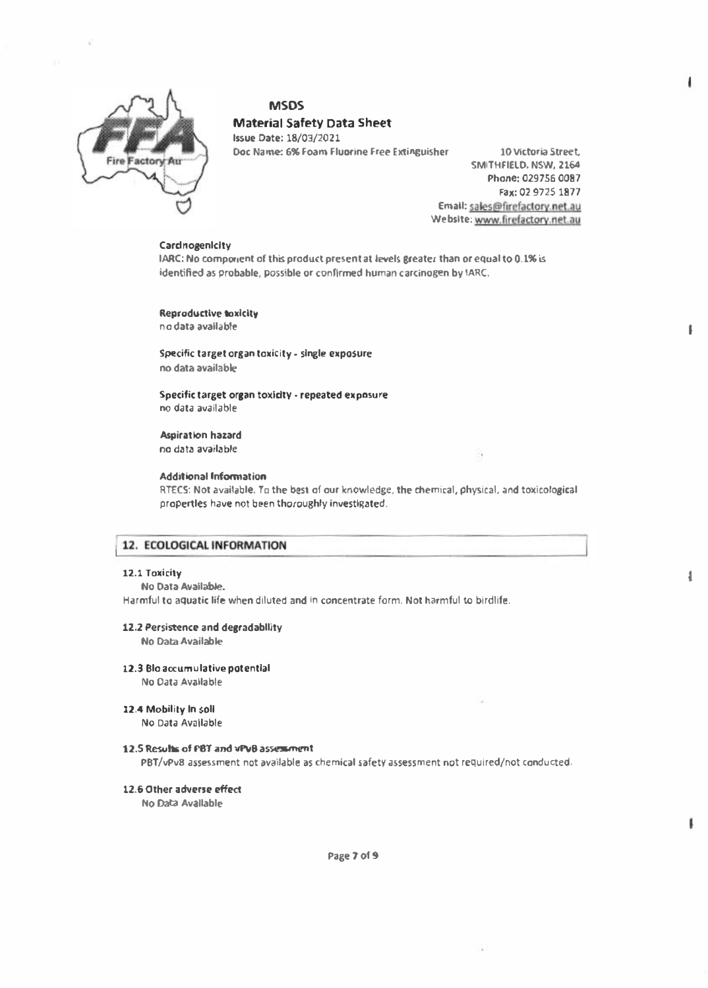

## **MSDS Material Safety Data Sheet**

**Issue Date: 18/03/2021** Doc Name: 6% Foam Fluorine Free Extinguisher

10 Victoria Street, SMITHFIELD, NSW, 2164 Phone: 029756 0087 Fax: 02 9725 1877 Email: sales@firefactory.net.au Website: www.firefactory.net.au

 $\mathbf{I}$ 

 $\overline{\mathbf{I}}$ 

#### Cardnogenicity

IARC: No component of this product present at levels greater than or equal to 0.1% is identified as probable, possible or confirmed human carcinogen by IARC.

**Reproductive toxicity** nio data available

Specific target organ toxicity - single exposure no data available

Specific target organ toxicity - repeated exposure no data available

**Aspiration hazard** no data available

#### **Additional Information**

RTECS: Not available. To the best of our knowledge, the chemical, physical, and toxicological propertles have not been thoroughly investigated.

## 12. ECOLOGICAL INFORMATION

#### 12.1 Toxicity

No Data Available.

Harmful to aquatic life when diluted and in concentrate form. Not harmful to birdlife.

#### 12.2 Persistence and degradability

No Data Available

12.3 Blo accumulative potential

No Data Available

12.4 Mobility In soll

No Data Available

#### 12.5 Results of PBT and vPvB assessment

PBT/vPv8 assessment not available as chemical safety assessment not required/not conducted.

12.6 Other adverse effect

No Data Available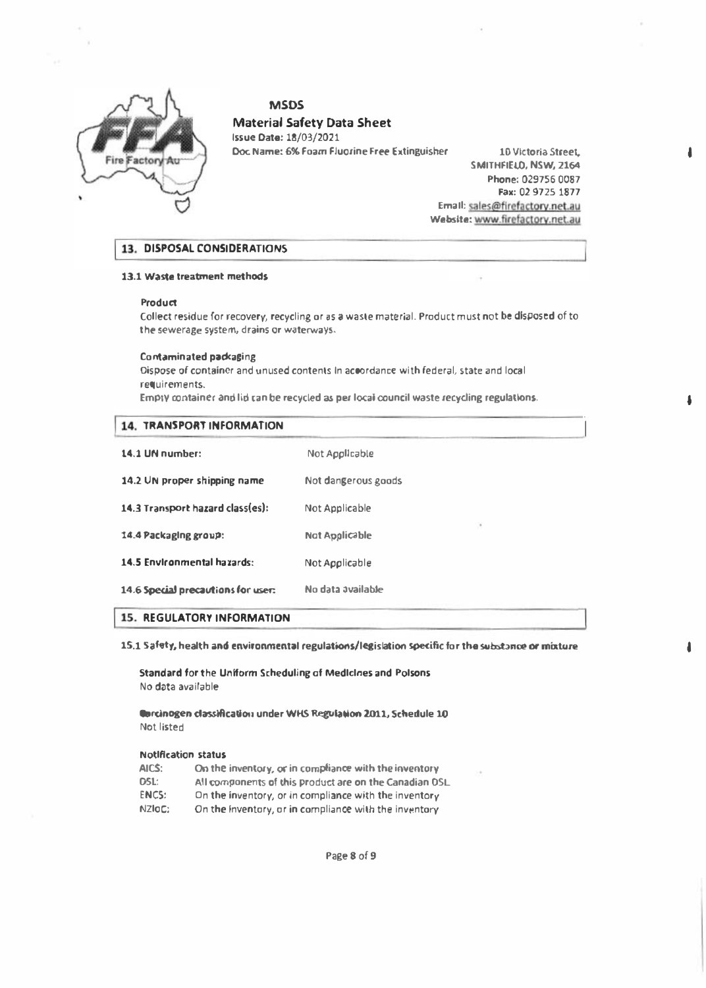

#### MSOS

## Material Safety Data Sheet

Issue Date: 18/03/2021 Doc Name: 6% Foam Fluorine Free Extinguisher 10 Victoria Street.

SMITHFIELO, NSW, 2164 Phone: 029756 0087 Fax: 02 9725 1877 Email: sales@firefactory.net.au Website: www.firefactory.net.au **J** 

ł.

I

## 13. DISPOSAL CONSIDERATIONS

#### 13.1 Waste treatment methods

#### **Product**

Collect residue for recovery, recycling or as a waste material. Product must not be disposed of to the sewerage system, drains or waterways.

#### Contaminated packaging

Dispose of container and unused contents In accordance with federal, state and local requirements.

Empty container and lid can be recycled as per local council waste recycling regulations.

| 14. TRANSPORT INFORMATION          |                     |
|------------------------------------|---------------------|
| 14.1 UN number:                    | Not Applicable      |
| 14.2 UN proper shipping name       | Not dangerous goods |
| 14.3 Transport hazard class(es):   | Not Applicable      |
| 14.4 Packaging group:              | ×<br>Not Applicable |
| 14.5 Environmental hazards:        | Not Applicable      |
| 14.6 Special precautions for user: | No data available   |

#### **15. REGULATORY INFORMATION**

15.1 Safety, health and environmental regulations/legislation specific for the substance or mixture

Standard for the Uniform Scheduling of Medicines and Poisons No data available

Garcinogen classification under WHS Regulation 2011, Schedule 10 Not listed

#### Notification status

AICS: On the inventory, or in compliance with the inventory DSL: All components of this product are on the Canadian DSL ENCS: On the inventory, or in compliance with the inventory NZIOC: On the inventory, or in compliance with the inventory

Page 8 of 9